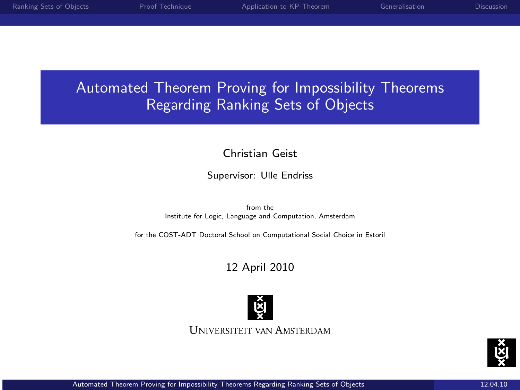# Automated Theorem Proving for Impossibility Theorems Regarding Ranking Sets of Objects

### Christian Geist

#### Supervisor: Ulle Endriss

from the Institute for Logic, Language and Computation, Amsterdam

for the COST-ADT Doctoral School on Computational Social Choice in Estoril

### 12 April 2010



<span id="page-0-0"></span>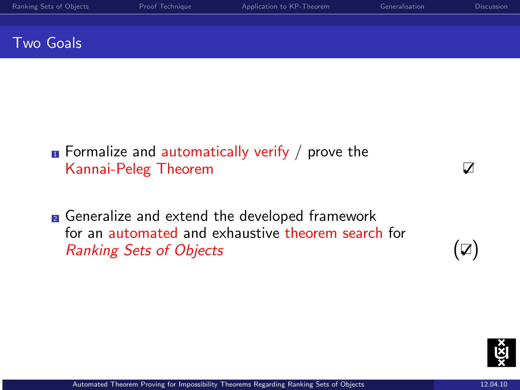| Ranking Sets of Objects | Proof Technique | Application to KP-Theorem | Generalisation | <b>Discussion</b> |
|-------------------------|-----------------|---------------------------|----------------|-------------------|
|                         |                 |                           |                |                   |
| Two Goals               |                 |                           |                |                   |

- $\blacksquare$  Formalize and automatically verify / prove the Kannai-Peleg Theorem V
- **2** Generalize and extend the developed framework for an automated and exhaustive theorem search for Ranking Sets of Objects  $(\nabla)$

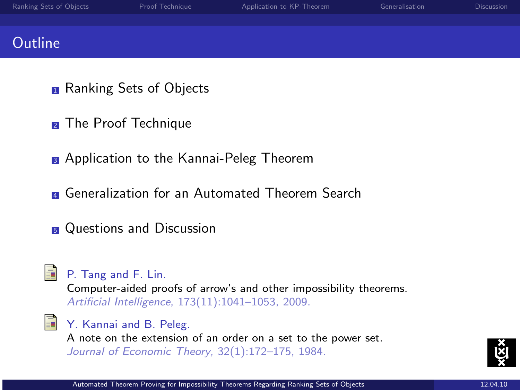| Ranking Sets of Objects | Proof Technique | Application to KP-Theorem | Generalisation | <b>Discussion</b> |
|-------------------------|-----------------|---------------------------|----------------|-------------------|
|                         |                 |                           |                |                   |
| <b>Outline</b>          |                 |                           |                |                   |

- **n** Ranking Sets of Objects
- **2** The Proof Technique
- **3** Application to the Kannai-Peleg Theorem
- **E** Generalization for an Automated Theorem Search
- **5** Questions and Discussion



P. Tang and F. Lin.

Computer-aided proofs of arrow's and other impossibility theorems. Artificial Intelligence, 173(11):1041–1053, 2009.

- 
- **No. 7.** Kannai and B. Peleg.

A note on the extension of an order on a set to the power set. Journal of Economic Theory, 32(1):172–175, 1984.

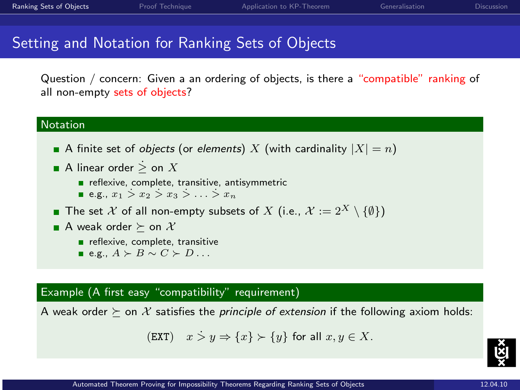### Setting and Notation for Ranking Sets of Objects

Question / concern: Given a an ordering of objects, is there a "compatible" ranking of all non-empty sets of objects?

#### Notation

- A finite set of *objects* (or *elements*) X (with cardinality  $|X| = n$ )
- A linear order  $\geq$  on  $X$ 
	- reflexive, complete, transitive, antisymmetric
	- e.g.,  $x_1 \geq x_2 \geq x_3 \geq \ldots \geq x_n$
- The set X of all non-empty subsets of X (i.e.,  $\mathcal{X} := 2^X \setminus \{\emptyset\}\$
- A weak order  $\succ$  on X
	- reflexive, complete, transitive
	- **E.g.**,  $A \succ B \sim C \succ D$ ...

#### Example (A first easy "compatibility" requirement)

A weak order  $\succeq$  on X satisfies the *principle of extension* if the following axiom holds:

$$
(\text{EXT}) \quad x \ge y \Rightarrow \{x\} \succ \{y\} \text{ for all } x, y \in X.
$$

<span id="page-3-0"></span>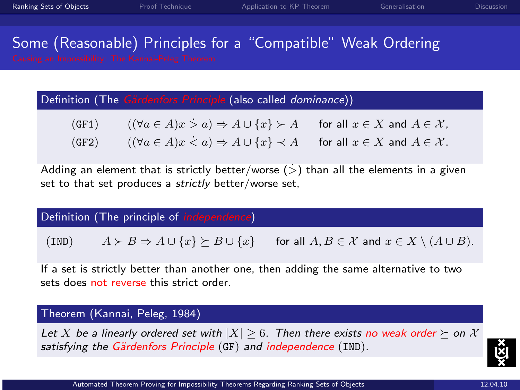# Some (Reasonable) Principles for a "Compatible" Weak Ordering

Definition (The Gärdenfors Principle (also called dominance))

| (GF1) | $((\forall a \in A)x > a) \Rightarrow A \cup \{x\} \succ A$ for all $x \in X$ and $A \in \mathcal{X}$ ,   |  |
|-------|-----------------------------------------------------------------------------------------------------------|--|
| (GF2) | $((\forall a \in A)x \le a) \Rightarrow A \cup \{x\} \prec A$ for all $x \in X$ and $A \in \mathcal{X}$ . |  |

Adding an element that is strictly better/worse  $(>)$  than all the elements in a given set to that set produces a strictly better/worse set,

Definition (The principle of independence)

(IND)  $A \succ B \Rightarrow A \cup \{x\} \succ B \cup \{x\}$  for all  $A, B \in \mathcal{X}$  and  $x \in X \setminus (A \cup B)$ .

If a set is strictly better than another one, then adding the same alternative to two sets does not reverse this strict order.

Theorem (Kannai, Peleg, 1984)

Let X be a linearly ordered set with  $|X| \ge 6$ . Then there exists no weak order  $\succ$  on X satisfying the Gärdenfors Principle (GF) and independence (IND).

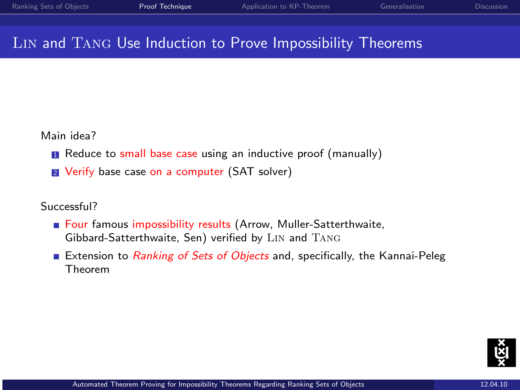### Lin and Tang Use Induction to Prove Impossibility Theorems

Main idea?

- **1** Reduce to small base case using an inductive proof (manually)
- **2** Verify base case on a computer (SAT solver)

Successful?

- Four famous impossibility results (Arrow, Muller-Satterthwaite, Gibbard-Satterthwaite, Sen) verified by Lin and Tang
- Extension to Ranking of Sets of Objects and, specifically, the Kannai-Peleg Theorem

<span id="page-5-0"></span>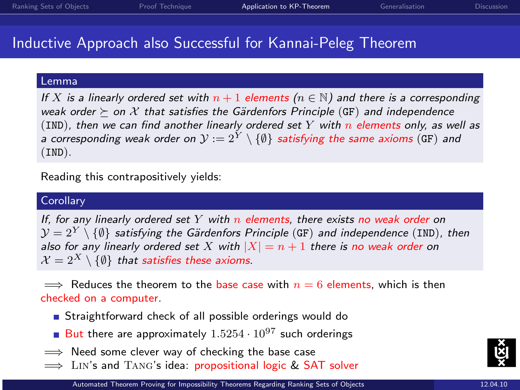### Inductive Approach also Successful for Kannai-Peleg Theorem

#### Lemma

If X is a linearly ordered set with  $n + 1$  elements  $(n \in \mathbb{N})$  and there is a corresponding weak order  $\succ$  on X that satisfies the Gärdenfors Principle (GF) and independence (IND), then we can find another linearly ordered set Y with n elements only, as well as a corresponding weak order on  $\mathcal{Y} := 2^Y \setminus \{\emptyset\}$  satisfying the same axioms (GF) and (IND).

Reading this contrapositively yields:

#### **Corollary**

If, for any linearly ordered set  $Y$  with  $n$  elements, there exists no weak order on  $\mathcal{Y} = 2^Y \setminus \{\emptyset\}$  satisfying the Gärdenfors Principle (GF) and independence (IND), then also for any linearly ordered set X with  $|X| = n + 1$  there is no weak order on  $\mathcal{X} = 2^X \setminus \{\emptyset\}$  that satisfies these axioms.

 $\implies$  Reduces the theorem to the base case with  $n = 6$  elements, which is then checked on a computer.

- Straightforward check of all possible orderings would do
- <span id="page-6-0"></span>But there are approximately  $1.5254 \cdot 10^{97}$  such orderings
- $\implies$  Need some clever way of checking the base case
- $\implies$  LIN's and TANG's idea: propositional logic & SAT solver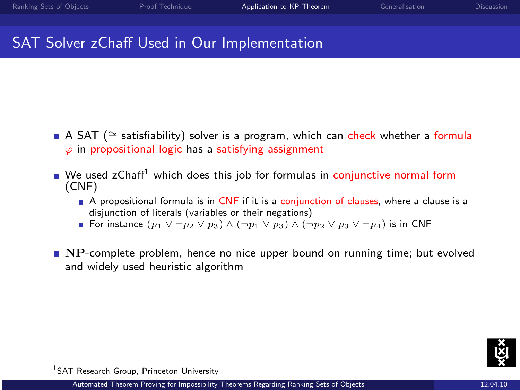## SAT Solver zChaff Used in Our Implementation

- A SAT (≅ satisfiability) solver is a program, which can check whether a formula  $\varphi$  in propositional logic has a satisfying assignment
- $\blacksquare$  We used zChaff<sup>1</sup> which does this job for formulas in conjunctive normal form (CNF)
	- $\blacksquare$  A propositional formula is in CNF if it is a conjunction of clauses, where a clause is a disjunction of literals (variables or their negations)
	- **■** For instance  $(p_1 \vee \neg p_2 \vee p_3) \wedge (\neg p_1 \vee p_3) \wedge (\neg p_2 \vee p_3 \vee \neg p_4)$  is in CNF
- **NP-complete problem, hence no nice upper bound on running time; but evolved** and widely used heuristic algorithm



<sup>1</sup>SAT Research Group, Princeton University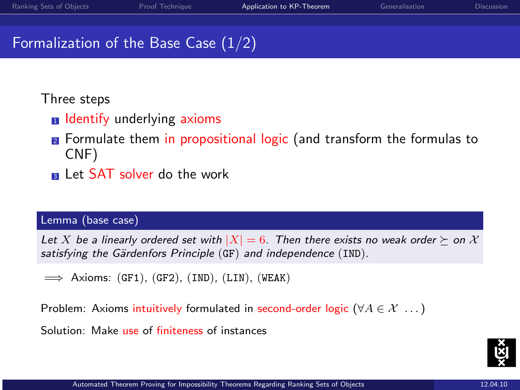### Formalization of the Base Case (1/2)

### Three steps

- **n** Identify underlying axioms
- **2** Formulate them in propositional logic (and transform the formulas to CNF)
- **B** Let SAT solver do the work

#### Lemma (base case)

Let X be a linearly ordered set with  $|X| = 6$ . Then there exists no weak order  $\succeq$  on X satisfying the Gärdenfors Principle  $(GF)$  and independence  $(IND)$ .

 $\implies$  Axioms: (GF1), (GF2), (IND), (LIN), (WEAK)

Problem: Axioms intuitively formulated in second-order logic ( $\forall A \in \mathcal{X} \dots$ ) Solution: Make use of finiteness of instances

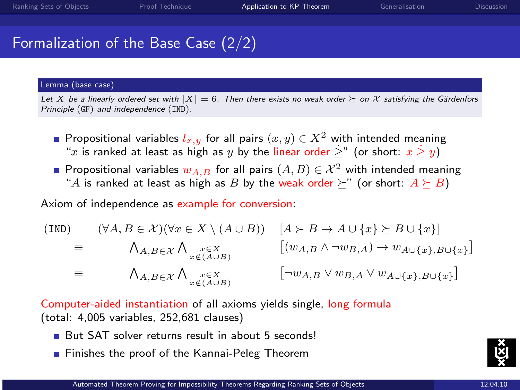## Formalization of the Base Case (2/2)

#### Lemma (base case)

Let X be a linearly ordered set with  $|X| = 6$ . Then there exists no weak order  $\succ$  on X satisfying the Gärdenfors Principle (GF) and independence (IND).

- **Propositional variables**  $l_{x,y}$  for all pairs  $(x, y) \in X^2$  with intended meaning "x is ranked at least as high as y by the linear order  $\geq$ " (or short:  $x \geq y$ )
- **Propositional variables**  $w_A$ **, and for all pairs**  $(A, B) \in \mathcal{X}^2$  with intended meaning "A is ranked at least as high as B by the weak order  $\succ$ " (or short:  $A \succ B$ )

Axiom of independence as example for conversion:

$$
\begin{array}{rcl}\n(\text{IND}) & (\forall A, B \in \mathcal{X}) (\forall x \in X \setminus (A \cup B)) & [A \succ B \to A \cup \{x\} \succeq B \cup \{x\}] \\
& \equiv & \Lambda_{A, B \in \mathcal{X}} \Lambda_{x \notin (A \cup B)} & [(w_{A, B} \land \neg w_{B, A}) \to w_{A \cup \{x\}, B \cup \{x\}}] \\
& \equiv & \Lambda_{A, B \in \mathcal{X}} \Lambda_{x \in X} & [\neg w_{A, B} \lor w_{B, A} \lor w_{A \cup \{x\}, B \cup \{x\}}]\n\end{array}
$$

Computer-aided instantiation of all axioms yields single, long formula (total: 4,005 variables, 252,681 clauses)

- But SAT solver returns result in about 5 seconds!
- **Finishes the proof of the Kannai-Peleg Theorem**

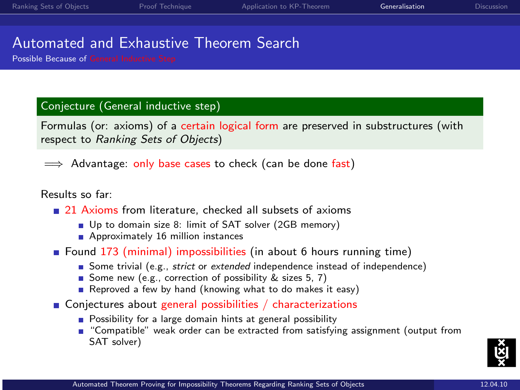### Automated and Exhaustive Theorem Search

Possible Because of General Inductive Step

#### Conjecture (General inductive step)

Formulas (or: axioms) of a certain logical form are preserved in substructures (with respect to Ranking Sets of Objects)

 $\implies$  Advantage: only base cases to check (can be done fast)

#### Results so far:

- 21 Axioms from literature, checked all subsets of axioms
	- Up to domain size 8: limit of SAT solver (2GB memory)
	- Approximately 16 million instances
- **F** Found 173 (minimal) impossibilities (in about 6 hours running time)
	- Some trivial (e.g., *strict* or extended independence instead of independence)
	- Some new (e.g., correction of possibility  $\&$  sizes 5, 7)
	- Reproved a few by hand (knowing what to do makes it easy)
- Conjectures about general possibilities / characterizations
	- **Possibility for a large domain hints at general possibility**
	- "Compatible" weak order can be extracted from satisfying assignment (output from SAT solver)

<span id="page-10-0"></span>